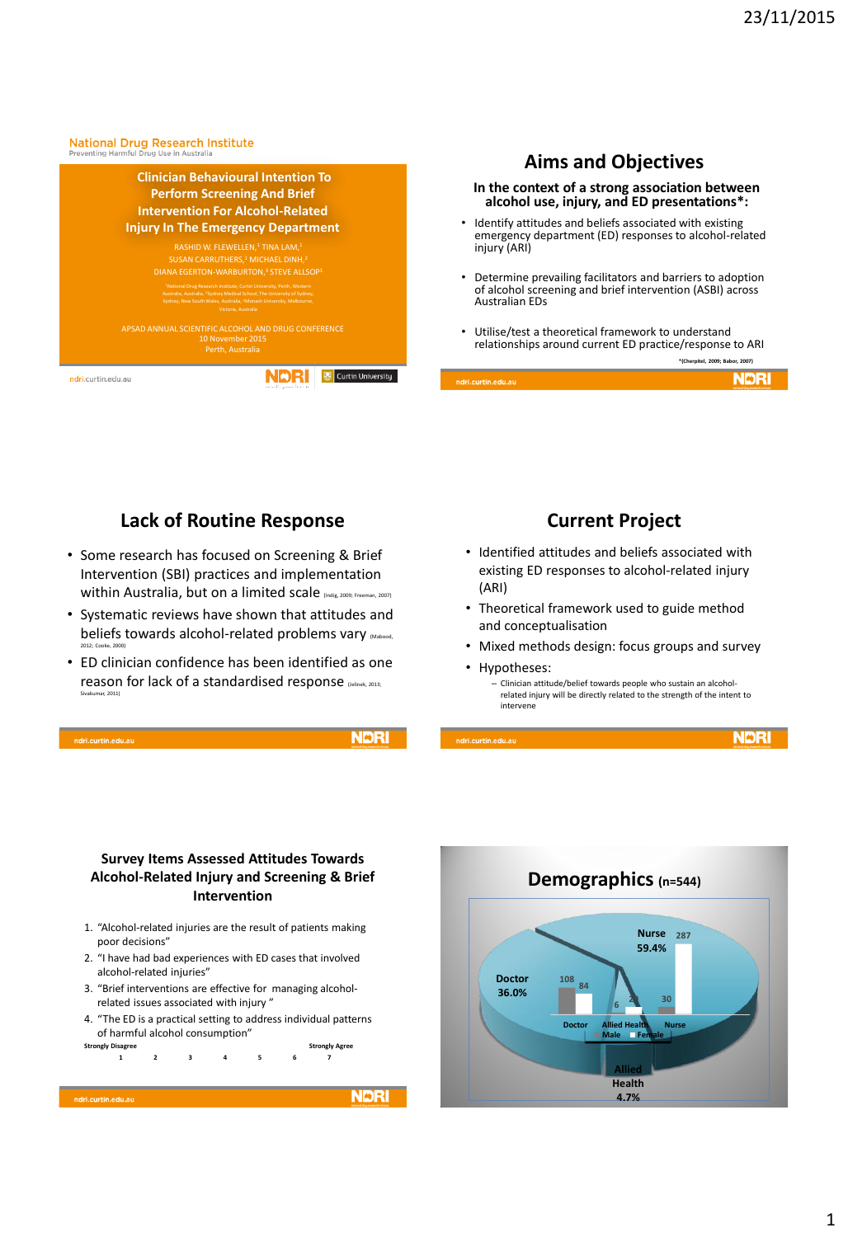#### National Drug Research Institute<br>Preventing Harmful Drug Use in Australia



## **Aims and Objectives**

#### **In the context of a strong association between alcohol use, injury, and ED presentations\*:**

- Identify attitudes and beliefs associated with existing emergency department (ED) responses to alcohol-related injury (ARI)
- Determine prevailing facilitators and barriers to adoption of alcohol screening and brief intervention (ASBI) across Australian EDs
- Utilise/test a theoretical framework to understand relationships around current ED practice/response to ARI

**\*(Cherpitel, 2009; Babor, 2007)**

**NDRI** 

|                    | <b>NMPI</b>                        |
|--------------------|------------------------------------|
| ndri.curtin.edu.au | instituted drug messacch institute |

#### **Lack of Routine Response**

- Some research has focused on Screening & Brief Intervention (SBI) practices and implementation within Australia, but on a limited scale (Indig, 2009; Freeman, 2007)
- Systematic reviews have shown that attitudes and beliefs towards alcohol-related problems vary Mabood, 2012; Cooke, 2000)
- ED clinician confidence has been identified as one reason for lack of a standardised response (Jelinek, 2013; Sivakumar, 2011)

ri.curtin.edu.ai

**NDRI** 

**NDRI** 

#### **Current Project**

- Identified attitudes and beliefs associated with existing ED responses to alcohol-related injury (ARI)
- Theoretical framework used to guide method and conceptualisation
- Mixed methods design: focus groups and survey
- Hypotheses:

– Clinician attitude/belief towards people who sustain an alcoholrelated injury will be directly related to the strength of the intent to intervene

ndri.curtin.edu.au

**Survey Items Assessed Attitudes Towards Alcohol-Related Injury and Screening & Brief Intervention**

- 1. "Alcohol-related injuries are the result of patients making poor decisions"
- 2. "I have had bad experiences with ED cases that involved alcohol-related injuries"
- 3. "Brief interventions are effective for managing alcoholrelated issues associated with injury "
- 4. "The ED is a practical setting to address individual patterns of harmful alcohol consumption"<br>
<sub>ongly</sub> Disagree

```
Strongly Disagree Strongly Agree
   1 2 3 4 5 6 7
```
ndri.curtin.edu.au

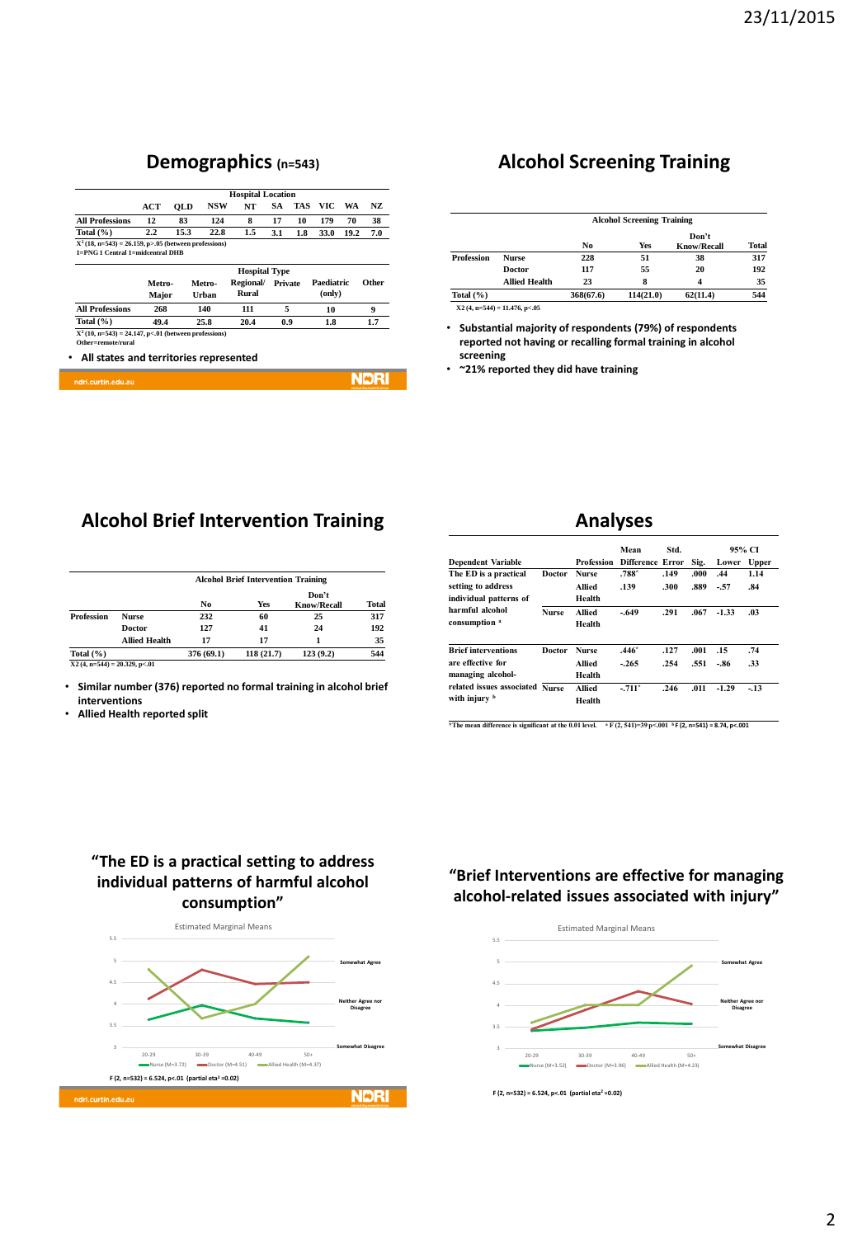### **Demographics (n=543)**

|                                                                                             | <b>Hospital Location</b> |            |        |           |         |     |            |      |       |
|---------------------------------------------------------------------------------------------|--------------------------|------------|--------|-----------|---------|-----|------------|------|-------|
|                                                                                             | ACT                      | <b>OLD</b> | NSW    | NT        | SA      | TAS | VIC        | WA   | NZ.   |
| <b>All Professions</b>                                                                      | 12                       | 83         | 124    | 8         | 17      | 10  | 179        | 70   | 38    |
| Total $(\% )$                                                                               | $2.2\,$                  | 15.3       | 22.8   | 1.5       | 3.1     | 1.8 | 33.0       | 19.2 | 7.0   |
| $X^2(18, n=543) = 26.159, p>0.05$ (between professions)<br>1=PNG 1 Central 1=midcentral DHB |                          |            |        |           |         |     |            |      |       |
|                                                                                             | <b>Hospital Type</b>     |            |        |           |         |     |            |      |       |
|                                                                                             | Metro-                   |            | Metro- | Regional/ | Private |     | Paediatric |      | Other |
|                                                                                             | Major                    |            | Urban  | Rural     |         |     | (only)     |      |       |
| <b>All Professions</b>                                                                      | 268                      |            | 140    | 111       | 5       |     | 10         |      | 9     |
| Total $(\% )$                                                                               | 49.4                     |            | 25.8   | 20.4      | 0.9     |     | 1.8        |      | 1.7   |
| $X^2(10, n=543) = 24.147, p<01$ (between professions)                                       |                          |            |        |           |         |     |            |      |       |
| Other=remote/rural                                                                          |                          |            |        |           |         |     |            |      |       |

**NDRI** 

### **Alcohol Screening Training**

|               |                      | <b>Alcohol Screening Training</b> |           |                             |       |
|---------------|----------------------|-----------------------------------|-----------|-----------------------------|-------|
|               |                      | No                                | Yes       | Don't<br><b>Know/Recall</b> | Total |
| Profession    | <b>Nurse</b>         | 228                               | 51        | 38                          | 317   |
|               | Doctor               | 117                               | 55        | 20                          | 192   |
|               | <b>Allied Health</b> | 23                                | 8         | 4                           | 35    |
| Total $(\% )$ |                      | 368(67.6)                         | 114(21.0) | 62(11.4)                    | 544   |

• **Substantial majority of respondents (79%) of respondents reported not having or recalling formal training in alcohol screening**

• **~21% reported they did have training**

### **Alcohol Brief Intervention Training**

|                   |                      | <b>Alcohol Brief Intervention Training</b> |           |                             |              |  |  |
|-------------------|----------------------|--------------------------------------------|-----------|-----------------------------|--------------|--|--|
|                   |                      | No                                         | Yes       | Don't<br><b>Know/Recall</b> | <b>Total</b> |  |  |
| <b>Profession</b> | <b>Nurse</b>         | 232                                        | 60        | 25                          | 317          |  |  |
|                   | <b>Doctor</b>        | 127                                        | 41        | 24                          | 192          |  |  |
|                   | <b>Allied Health</b> | 17                                         | 17        |                             | 35           |  |  |
| Total $(\% )$     |                      | 376 (69.1)                                 | 118(21.7) | 123(9.2)                    | 544          |  |  |

**X2 (4, n=544) = 20.329, p<.01** 

ndri.curtin.edu.at

• **Similar number (376) reported no formal training in alcohol brief interventions** 

• **Allied Health reported split** 

#### **Analyses**

|                                           |              | Mean         |                         | Std. |      | 95% CI  |              |
|-------------------------------------------|--------------|--------------|-------------------------|------|------|---------|--------------|
| <b>Dependent Variable</b>                 |              | Profession   | <b>Difference Error</b> |      | Sig. | Lower   | <b>Upper</b> |
| The ED is a practical                     | Doctor       | <b>Nurse</b> | $.788*$                 | .149 | .000 | .44     | 1.14         |
| setting to address                        |              | Allied       | .139                    | .300 | .889 | $-57$   | .84          |
| individual patterns of<br>harmful alcohol |              | Health       |                         |      |      |         |              |
|                                           | <b>Nurse</b> | Allied       | $-.649$                 | .291 | .067 | $-1.33$ | .03          |
| consumption <sup>a</sup>                  |              | Health       |                         |      |      |         |              |
| <b>Brief interventions</b>                | Doctor       | <b>Nurse</b> | $.446*$                 | .127 | .001 | .15     | .74          |
| are effective for                         |              | Allied       | $-265$                  | .254 | .551 | -.86    | .33          |
| managing alcohol-                         |              | Health       |                         |      |      |         |              |
| related issues associated                 | <b>Nurse</b> | Allied       | $-711$ <sup>*</sup>     | .246 | .011 | $-1.29$ | $-13$        |
| with injury b                             |              | Health       |                         |      |      |         |              |

**\*The mean difference is significant at the 0.01 level. <sup>a</sup> F (2, 541)=39 p<.001 <sup>b</sup>F (2, n=541) = 8.74, p<.001** 

#### **"The ED is a practical setting to address individual patterns of harmful alcohol consumption"**



#### **"Brief Interventions are effective for managing alcohol-related issues associated with injury"**



**F (2, n=532) = 6.524, p<.01 (partial eta<sup>2</sup> =0.02)**